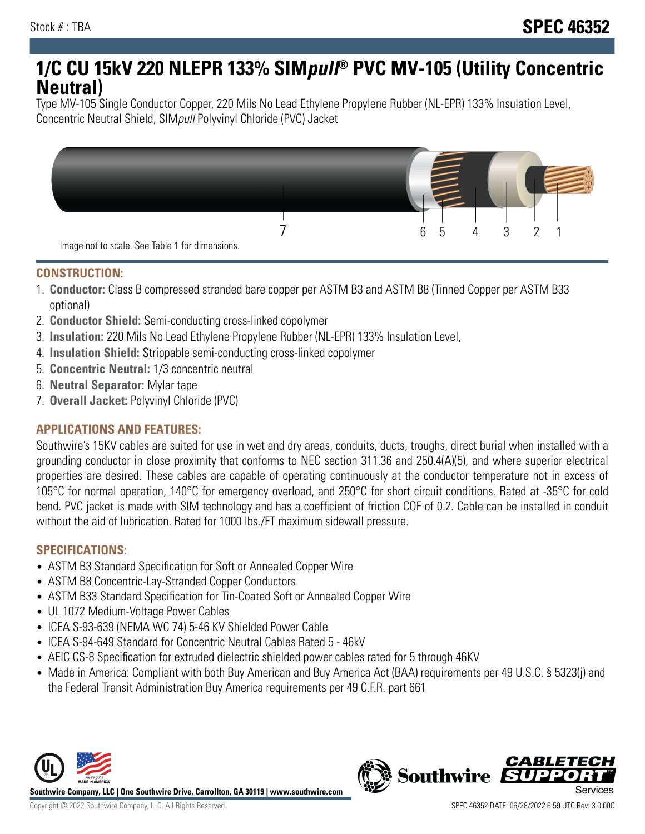# **1/C CU 15kV 220 NLEPR 133% SIMpull® PVC MV-105 (Utility Concentric Neutral)**

Type MV-105 Single Conductor Copper, 220 Mils No Lead Ethylene Propylene Rubber (NL-EPR) 133% Insulation Level, Concentric Neutral Shield, SIMpull Polyvinyl Chloride (PVC) Jacket



## **CONSTRUCTION:**

- 1. **Conductor:** Class B compressed stranded bare copper per ASTM B3 and ASTM B8 (Tinned Copper per ASTM B33 optional)
- 2. **Conductor Shield:** Semi-conducting cross-linked copolymer
- 3. **Insulation:** 220 Mils No Lead Ethylene Propylene Rubber (NL-EPR) 133% Insulation Level,
- 4. **Insulation Shield:** Strippable semi-conducting cross-linked copolymer
- 5. **Concentric Neutral:** 1/3 concentric neutral
- 6. **Neutral Separator:** Mylar tape
- 7. **Overall Jacket:** Polyvinyl Chloride (PVC)

## **APPLICATIONS AND FEATURES:**

Southwire's 15KV cables are suited for use in wet and dry areas, conduits, ducts, troughs, direct burial when installed with a grounding conductor in close proximity that conforms to NEC section 311.36 and 250.4(A)(5), and where superior electrical properties are desired. These cables are capable of operating continuously at the conductor temperature not in excess of 105°C for normal operation, 140°C for emergency overload, and 250°C for short circuit conditions. Rated at -35°C for cold bend. PVC jacket is made with SIM technology and has a coefficient of friction COF of 0.2. Cable can be installed in conduit without the aid of lubrication. Rated for 1000 lbs./FT maximum sidewall pressure.

#### **SPECIFICATIONS:**

- ASTM B3 Standard Specification for Soft or Annealed Copper Wire
- ASTM B8 Concentric-Lay-Stranded Copper Conductors
- ASTM B33 Standard Specification for Tin-Coated Soft or Annealed Copper Wire
- UL 1072 Medium-Voltage Power Cables
- ICEA S-93-639 (NEMA WC 74) 5-46 KV Shielded Power Cable
- ICEA S-94-649 Standard for Concentric Neutral Cables Rated 5 46kV
- AEIC CS-8 Specification for extruded dielectric shielded power cables rated for 5 through 46KV
- Made in America: Compliant with both Buy American and Buy America Act (BAA) requirements per 49 U.S.C. § 5323(j) and the Federal Transit Administration Buy America requirements per 49 C.F.R. part 661